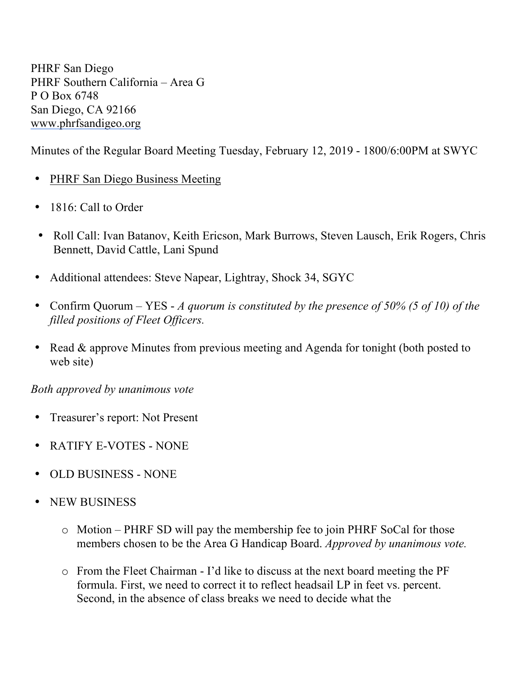PHRF San Diego PHRF Southern California – Area G P O Box 6748 San Diego, CA 92166 www.phrfsandigeo.org

Minutes of the Regular Board Meeting Tuesday, February 12, 2019 - 1800/6:00PM at SWYC

- PHRF San Diego Business Meeting
- 1816: Call to Order
- Roll Call: Ivan Batanov, Keith Ericson, Mark Burrows, Steven Lausch, Erik Rogers, Chris Bennett, David Cattle, Lani Spund
- Additional attendees: Steve Napear, Lightray, Shock 34, SGYC
- Confirm Quorum YES *A quorum is constituted by the presence of 50% (5 of 10) of the filled positions of Fleet Officers.*
- Read & approve Minutes from previous meeting and Agenda for tonight (both posted to web site)

*Both approved by unanimous vote*

- Treasurer's report: Not Present
- RATIFY E-VOTES NONE
- OLD BUSINESS NONE
- NEW BUSINESS
	- o Motion PHRF SD will pay the membership fee to join PHRF SoCal for those members chosen to be the Area G Handicap Board. *Approved by unanimous vote.*
	- o From the Fleet Chairman I'd like to discuss at the next board meeting the PF formula. First, we need to correct it to reflect headsail LP in feet vs. percent. Second, in the absence of class breaks we need to decide what the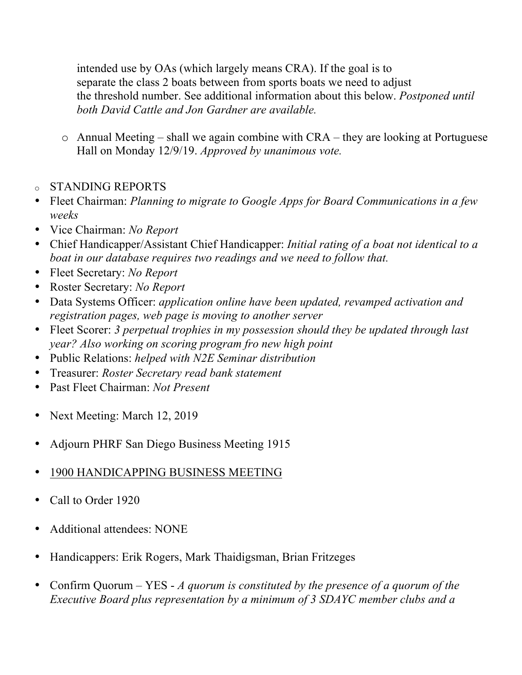intended use by OAs (which largely means CRA). If the goal is to separate the class 2 boats between from sports boats we need to adjust the threshold number. See additional information about this below. *Postponed until both David Cattle and Jon Gardner are available.* 

- o Annual Meeting shall we again combine with CRA they are looking at Portuguese Hall on Monday 12/9/19. *Approved by unanimous vote.*
- o STANDING REPORTS
- Fleet Chairman: *Planning to migrate to Google Apps for Board Communications in a few weeks*
- Vice Chairman: *No Report*
- Chief Handicapper/Assistant Chief Handicapper: *Initial rating of a boat not identical to a boat in our database requires two readings and we need to follow that.*
- Fleet Secretary: *No Report*
- Roster Secretary: *No Report*
- Data Systems Officer: *application online have been updated, revamped activation and registration pages, web page is moving to another server*
- Fleet Scorer: *3 perpetual trophies in my possession should they be updated through last year? Also working on scoring program fro new high point*
- Public Relations: *helped with N2E Seminar distribution*
- Treasurer: *Roster Secretary read bank statement*
- Past Fleet Chairman: *Not Present*
- Next Meeting: March 12, 2019
- Adjourn PHRF San Diego Business Meeting 1915
- 1900 HANDICAPPING BUSINESS MEETING
- Call to Order 1920
- Additional attendees: NONE
- Handicappers: Erik Rogers, Mark Thaidigsman, Brian Fritzeges
- Confirm Quorum YES *A quorum is constituted by the presence of a quorum of the Executive Board plus representation by a minimum of 3 SDAYC member clubs and a*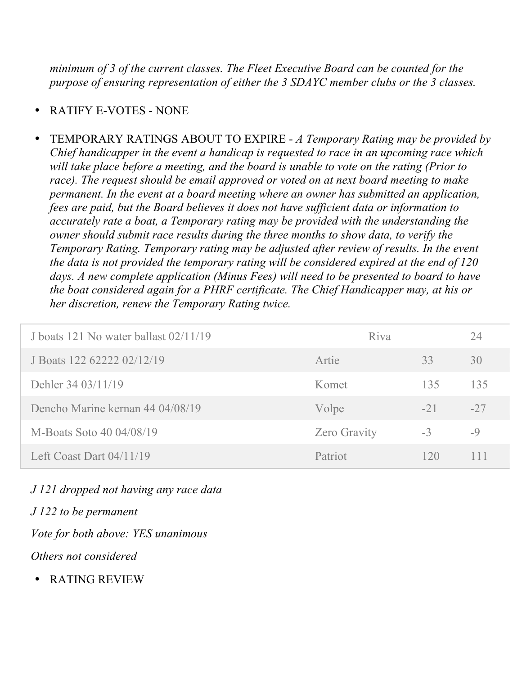*minimum of 3 of the current classes. The Fleet Executive Board can be counted for the purpose of ensuring representation of either the 3 SDAYC member clubs or the 3 classes.*

- RATIFY E-VOTES NONE
- TEMPORARY RATINGS ABOUT TO EXPIRE *A Temporary Rating may be provided by Chief handicapper in the event a handicap is requested to race in an upcoming race which will take place before a meeting, and the board is unable to vote on the rating (Prior to race). The request should be email approved or voted on at next board meeting to make permanent. In the event at a board meeting where an owner has submitted an application, fees are paid, but the Board believes it does not have sufficient data or information to accurately rate a boat, a Temporary rating may be provided with the understanding the owner should submit race results during the three months to show data, to verify the Temporary Rating. Temporary rating may be adjusted after review of results. In the event the data is not provided the temporary rating will be considered expired at the end of 120 days. A new complete application (Minus Fees) will need to be presented to board to have the boat considered again for a PHRF certificate. The Chief Handicapper may, at his or her discretion, renew the Temporary Rating twice.*

| J boats 121 No water ballast 02/11/19 | Riva                |       | 24    |
|---------------------------------------|---------------------|-------|-------|
| J Boats 122 62222 02/12/19            | Artie               | 33    | 30    |
| Dehler 34 03/11/19                    | Komet               | 135   | 135   |
| Dencho Marine kernan 44 04/08/19      | Volpe               | $-21$ | $-27$ |
| M-Boats Soto 40 04/08/19              | <b>Zero Gravity</b> | $-3$  | $-9$  |
| Left Coast Dart $04/11/19$            | Patriot             | 120   | 111   |

## *J 121 dropped not having any race data*

*J 122 to be permanent*

*Vote for both above: YES unanimous*

*Others not considered*

• RATING REVIEW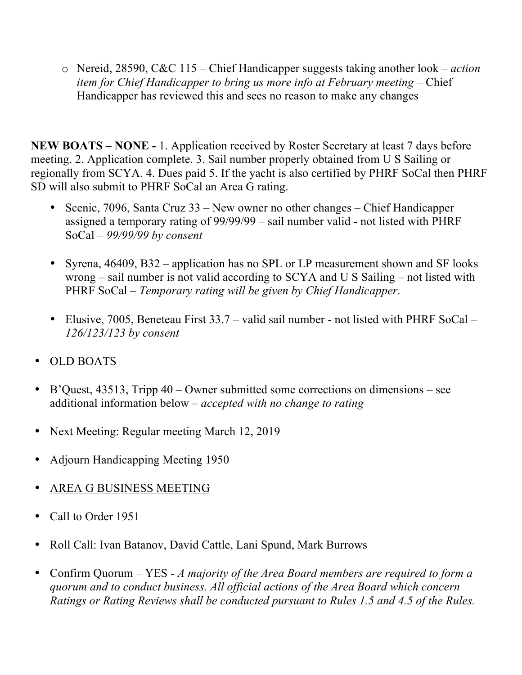o Nereid, 28590, C&C 115 – Chief Handicapper suggests taking another look – *action item for Chief Handicapper to bring us more info at February meeting –* Chief Handicapper has reviewed this and sees no reason to make any changes

**NEW BOATS – NONE -** 1. Application received by Roster Secretary at least 7 days before meeting. 2. Application complete. 3. Sail number properly obtained from U S Sailing or regionally from SCYA. 4. Dues paid 5. If the yacht is also certified by PHRF SoCal then PHRF SD will also submit to PHRF SoCal an Area G rating.

- Scenic, 7096, Santa Cruz 33 New owner no other changes Chief Handicapper assigned a temporary rating of 99/99/99 – sail number valid - not listed with PHRF SoCal – *99/99/99 by consent*
- Syrena, 46409, B32 application has no SPL or LP measurement shown and SF looks wrong – sail number is not valid according to SCYA and U S Sailing – not listed with PHRF SoCal – *Temporary rating will be given by Chief Handicapper*.
- Elusive, 7005, Beneteau First 33.7 valid sail number not listed with PHRF SoCal *126/123/123 by consent*
- OLD BOATS
- B'Quest, 43513, Tripp 40 Owner submitted some corrections on dimensions see additional information below – *accepted with no change to rating*
- Next Meeting: Regular meeting March 12, 2019
- Adjourn Handicapping Meeting 1950
- AREA G BUSINESS MEETING
- Call to Order 1951
- Roll Call: Ivan Batanov, David Cattle, Lani Spund, Mark Burrows
- Confirm Quorum YES *A majority of the Area Board members are required to form a quorum and to conduct business. All official actions of the Area Board which concern Ratings or Rating Reviews shall be conducted pursuant to Rules 1.5 and 4.5 of the Rules.*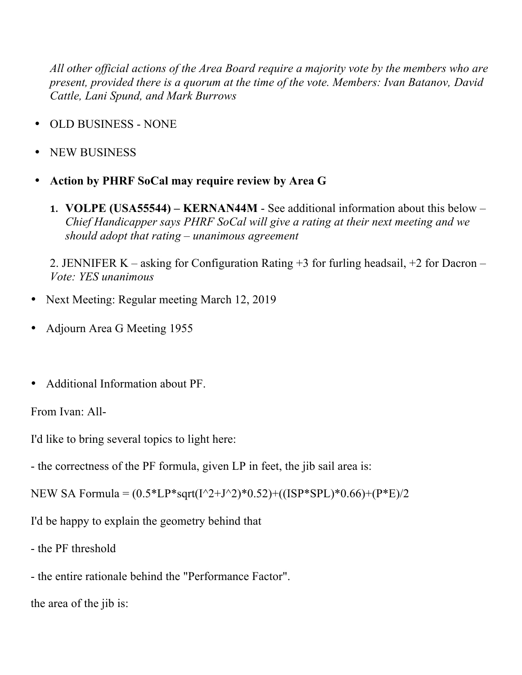*All other official actions of the Area Board require a majority vote by the members who are present, provided there is a quorum at the time of the vote. Members: Ivan Batanov, David Cattle, Lani Spund, and Mark Burrows*

- OLD BUSINESS NONE
- NEW BUSINESS
- **Action by PHRF SoCal may require review by Area G** 
	- **1. VOLPE (USA55544) – KERNAN44M**  See additional information about this below *Chief Handicapper says PHRF SoCal will give a rating at their next meeting and we should adopt that rating – unanimous agreement*

2. JENNIFER K – asking for Configuration Rating +3 for furling headsail, +2 for Dacron – *Vote: YES unanimous*

- Next Meeting: Regular meeting March 12, 2019
- Adjourn Area G Meeting 1955
- Additional Information about PF.

From Ivan: All-

I'd like to bring several topics to light here:

- the correctness of the PF formula, given LP in feet, the jib sail area is:

NEW SA Formula =  $(0.5*LP*sqrt(1^2+J^2)*0.52)+((ISP*SPL)*0.66)+(P*E)/2$ 

I'd be happy to explain the geometry behind that

- the PF threshold

- the entire rationale behind the "Performance Factor".

the area of the jib is: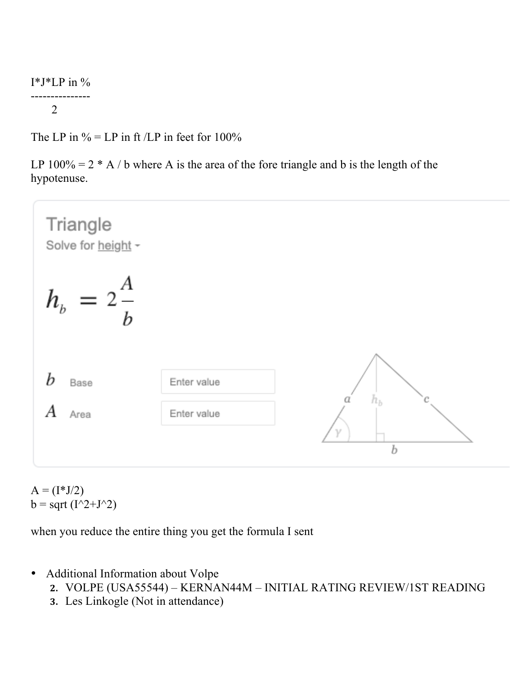## I\*J\*LP in %

## --------------- 2

The LP in  $\%$  = LP in ft /LP in feet for 100%

LP  $100\% = 2 * A / b$  where A is the area of the fore triangle and b is the length of the hypotenuse.



 $A = (I^*J/2)$  $b = sqrt(I^2+J^2)$ 

when you reduce the entire thing you get the formula I sent

- Additional Information about Volpe
	- **2.** VOLPE (USA55544) KERNAN44M INITIAL RATING REVIEW/1ST READING
	- **3.** Les Linkogle (Not in attendance)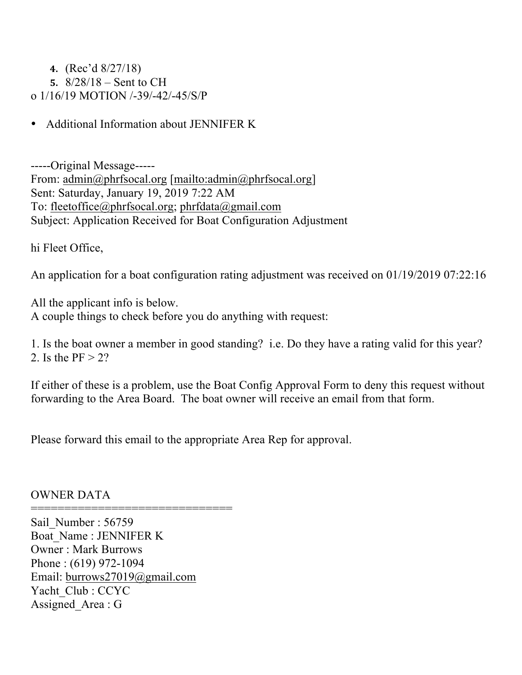**4.** (Rec'd 8/27/18) **5.** 8/28/18 – Sent to CH

o 1/16/19 MOTION /-39/-42/-45/S/P

• Additional Information about JENNIFER K

-----Original Message----- From: admin@phrfsocal.org [mailto:admin@phrfsocal.org] Sent: Saturday, January 19, 2019 7:22 AM To: fleetoffice@phrfsocal.org; phrfdata@gmail.com Subject: Application Received for Boat Configuration Adjustment

hi Fleet Office,

An application for a boat configuration rating adjustment was received on 01/19/2019 07:22:16

All the applicant info is below. A couple things to check before you do anything with request:

1. Is the boat owner a member in good standing? i.e. Do they have a rating valid for this year? 2. Is the  $PF > 2$ ?

If either of these is a problem, use the Boat Config Approval Form to deny this request without forwarding to the Area Board. The boat owner will receive an email from that form.

Please forward this email to the appropriate Area Rep for approval.

OWNER DATA

==============================

Sail Number : 56759 Boat\_Name : JENNIFER K Owner : Mark Burrows Phone : (619) 972-1094 Email: burrows27019@gmail.com Yacht\_Club : CCYC Assigned Area : G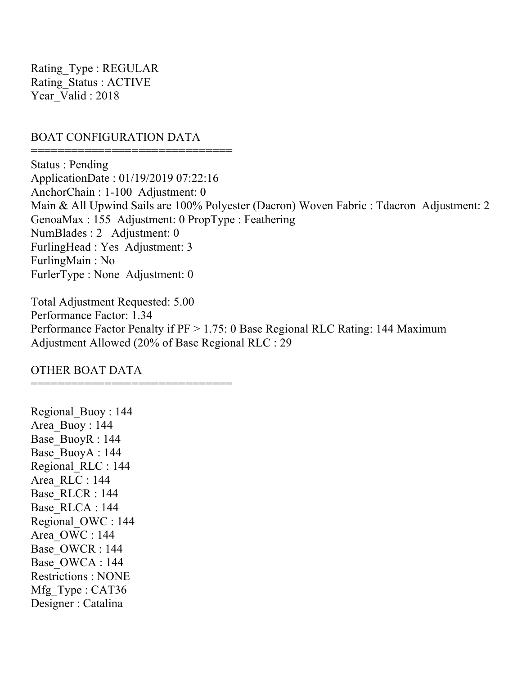Rating\_Type : REGULAR Rating\_Status : ACTIVE Year\_Valid : 2018

## BOAT CONFIGURATION DATA

====================================

======================================

Status : Pending ApplicationDate : 01/19/2019 07:22:16 AnchorChain : 1-100 Adjustment: 0 Main & All Upwind Sails are 100% Polyester (Dacron) Woven Fabric : Tdacron Adjustment: 2 GenoaMax : 155 Adjustment: 0 PropType : Feathering NumBlades : 2 Adjustment: 0 FurlingHead : Yes Adjustment: 3 FurlingMain : No FurlerType : None Adjustment: 0

Total Adjustment Requested: 5.00 Performance Factor: 1.34 Performance Factor Penalty if PF > 1.75: 0 Base Regional RLC Rating: 144 Maximum Adjustment Allowed (20% of Base Regional RLC : 29

OTHER BOAT DATA

Regional\_Buoy : 144 Area\_Buoy : 144 Base\_BuoyR : 144 Base\_BuoyA : 144 Regional\_RLC : 144 Area\_RLC : 144 Base\_RLCR : 144 Base\_RLCA : 144 Regional\_OWC : 144 Area\_OWC : 144 Base\_OWCR : 144 Base\_OWCA : 144 Restrictions : NONE Mfg Type : CAT36 Designer : Catalina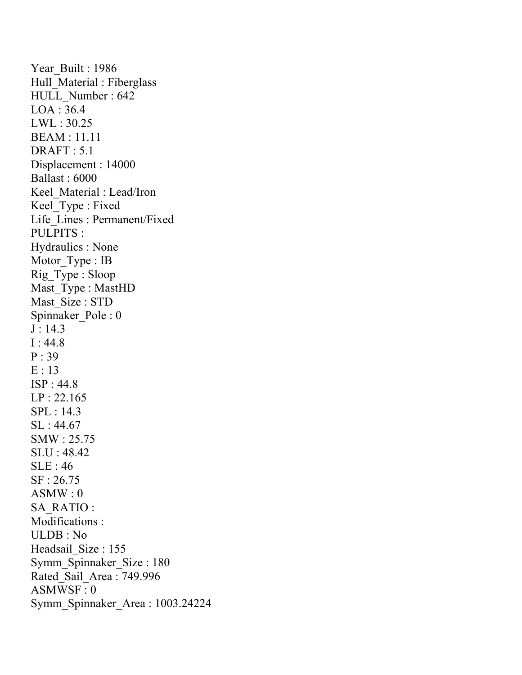Year Built : 1986 Hull\_Material : Fiberglass HULL\_Number : 642 LOA : 36.4 LWL : 30.25 BEAM : 11.11 DRAFT : 5.1 Displacement : 14000 Ballast : 6000 Keel\_Material : Lead/Iron Keel\_Type : Fixed Life\_Lines : Permanent/Fixed PULPITS : Hydraulics : None Motor\_Type : IB Rig\_Type : Sloop Mast Type : MastHD Mast Size : STD Spinnaker\_Pole : 0  $J: 14.3$ I : 44.8 P : 39  $E:13$ ISP : 44.8 LP : 22.165 SPL : 14.3 SL : 44.67 SMW : 25.75 SLU : 48.42 SLE : 46 SF : 26.75  $ASMW:0$ SA\_RATIO : Modifications : ULDB : No Headsail Size : 155 Symm\_Spinnaker\_Size : 180 Rated\_Sail\_Area : 749.996 ASMWSF : 0 Symm\_Spinnaker\_Area : 1003.24224